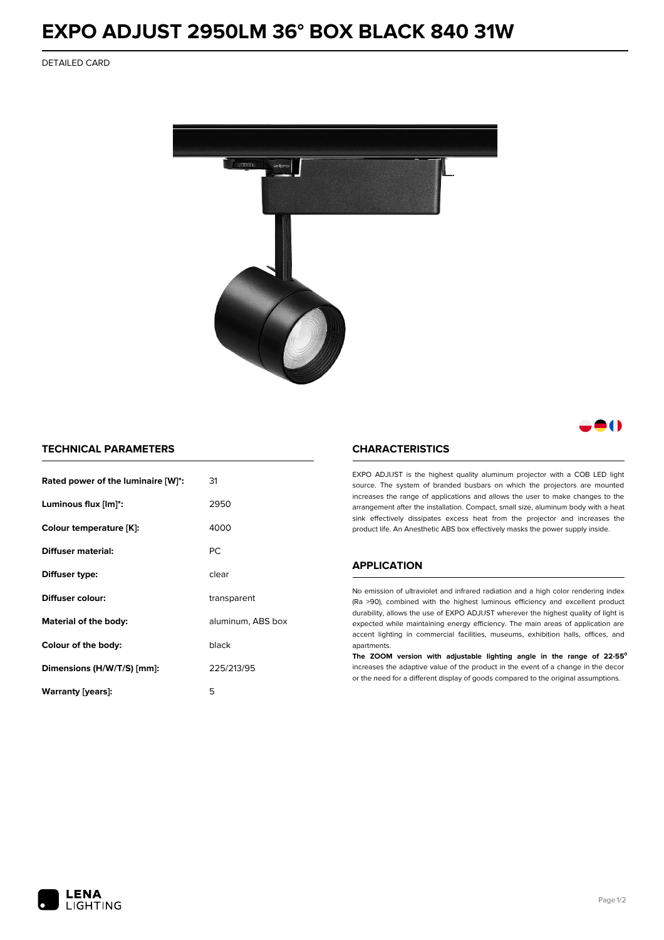## **EXPO ADJUST 2950LM 36° BOX BLACK 840 31W**

DETAILED CARD



80

### **TECHNICAL PARAMETERS**

| Rated power of the luminaire [W]*: | 31                |
|------------------------------------|-------------------|
| Luminous flux [lm]*:               | 2950              |
| Colour temperature [K]:            | 4000              |
| Diffuser material:                 | <b>PC</b>         |
| Diffuser type:                     | clear             |
| Diffuser colour:                   | transparent       |
| Material of the body:              | aluminum, ABS box |
| Colour of the body:                | black             |
| Dimensions (H/W/T/S) [mm]:         | 225/213/95        |
| Warranty [years]:                  | 5                 |

#### **CHARACTERISTICS**

EXPO ADJUST is the highest quality aluminum projector with a COB LED light source. The system of branded busbars on which the projectors are mounted increases the range of applications and allows the user to make changes to the arrangement after the installation. Compact, small size, aluminum body with a heat sink effectively dissipates excess heat from the projector and increases the product life. An Anesthetic ABS box effectively masks the power supply inside.

#### **APPLICATION**

No emission of ultraviolet and infrared radiation and a high color rendering index (Ra >90), combined with the highest luminous efficiency and excellent product durability, allows the use of EXPO ADJUST wherever the highest quality of light is expected while maintaining energy efficiency. The main areas of application are accent lighting in commercial facilities, museums, exhibition halls, offices, and apartments.

**The ZOOM version with adjustable lighting angle in the range of 22-55⁰** increases the adaptive value of the product in the event of a change in the decor or the need for a different display of goods compared to the original assumptions.